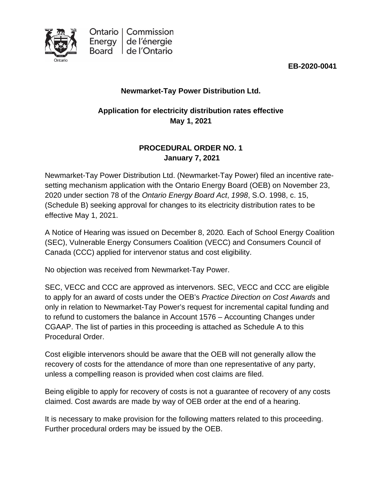

**EB-2020-0041**

# **Newmarket-Tay Power Distribution Ltd.**

# **Application for electricity distribution rates effective May 1, 2021**

# **PROCEDURAL ORDER NO. 1 January 7, 2021**

Newmarket-Tay Power Distribution Ltd. (Newmarket-Tay Power) filed an incentive ratesetting mechanism application with the Ontario Energy Board (OEB) on November 23, 2020 under section 78 of the *Ontario Energy Board Act*, *1998*, S.O. 1998, c. 15, (Schedule B) seeking approval for changes to its electricity distribution rates to be effective May 1, 2021.

A Notice of Hearing was issued on December 8, 2020*.* Each of School Energy Coalition (SEC), Vulnerable Energy Consumers Coalition (VECC) and Consumers Council of Canada (CCC) applied for intervenor status and cost eligibility.

No objection was received from Newmarket-Tay Power.

SEC, VECC and CCC are approved as intervenors. SEC, VECC and CCC are eligible to apply for an award of costs under the OEB's *Practice Direction on Cost Awards* and only in relation to Newmarket-Tay Power's request for incremental capital funding and to refund to customers the balance in Account 1576 – Accounting Changes under CGAAP. The list of parties in this proceeding is attached as Schedule A to this Procedural Order.

Cost eligible intervenors should be aware that the OEB will not generally allow the recovery of costs for the attendance of more than one representative of any party, unless a compelling reason is provided when cost claims are filed.

Being eligible to apply for recovery of costs is not a guarantee of recovery of any costs claimed. Cost awards are made by way of OEB order at the end of a hearing.

It is necessary to make provision for the following matters related to this proceeding. Further procedural orders may be issued by the OEB.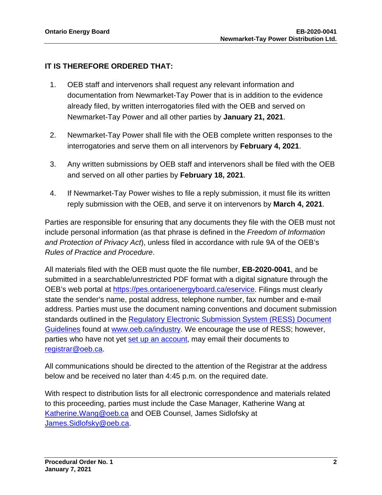# **IT IS THEREFORE ORDERED THAT:**

- 1. OEB staff and intervenors shall request any relevant information and documentation from Newmarket-Tay Power that is in addition to the evidence already filed, by written interrogatories filed with the OEB and served on Newmarket-Tay Power and all other parties by **January 21, 2021**.
- 2. Newmarket-Tay Power shall file with the OEB complete written responses to the interrogatories and serve them on all intervenors by **February 4, 2021**.
- 3. Any written submissions by OEB staff and intervenors shall be filed with the OEB and served on all other parties by **February 18, 2021**.
- 4. If Newmarket-Tay Power wishes to file a reply submission, it must file its written reply submission with the OEB, and serve it on intervenors by **March 4, 2021**.

Parties are responsible for ensuring that any documents they file with the OEB must not include personal information (as that phrase is defined in the *Freedom of Information and Protection of Privacy Act*), unless filed in accordance with rule 9A of the OEB's *Rules of Practice and Procedure*.

All materials filed with the OEB must quote the file number, **EB-2020-0041**, and be submitted in a searchable/unrestricted PDF format with a digital signature through the OEB's web portal at [https://pes.ontarioenergyboard.ca/eservice.](https://pes.ontarioenergyboard.ca/eservice) Filings must clearly state the sender's name, postal address, telephone number, fax number and e-mail address. Parties must use the document naming conventions and document submission standards outlined in the [Regulatory Electronic Submission System \(RESS\) Document](https://www.oeb.ca/sites/default/files/RESS-Document-Guidelines-202006.pdf)  [Guidelines](https://www.oeb.ca/sites/default/files/RESS-Document-Guidelines-202006.pdf) found at [www.oeb.ca/industry.](https://www.oeb.ca/industry/tools-resources-and-links/filing-systems) We encourage the use of RESS; however, parties who have not yet [set up an account,](https://www.oeb.ca/oeb/_Documents/e-Filing/Electronic_User_Form.pdf?v=20200331) may email their documents to [registrar@oeb.ca.](mailto:registrar@oeb.ca)

All communications should be directed to the attention of the Registrar at the address below and be received no later than 4:45 p.m. on the required date.

With respect to distribution lists for all electronic correspondence and materials related to this proceeding, parties must include the Case Manager, Katherine Wang at [Katherine.Wang@oeb.ca](mailto:Katherine.Wang@oeb.ca) and OEB Counsel, James Sidlofsky at [James.Sidlofsky@oeb.ca.](mailto:James.Sidlofsky@oeb.ca)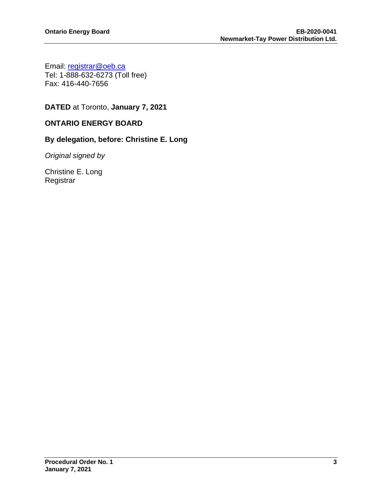Email: [registrar@oeb.ca](mailto:registrar@oeb.ca) Tel: 1-888-632-6273 (Toll free) Fax: 416-440-7656

**DATED** at Toronto, **January 7, 2021**

#### **ONTARIO ENERGY BOARD**

#### **By delegation, before: Christine E. Long**

*Original signed by*

Christine E. Long **Registrar**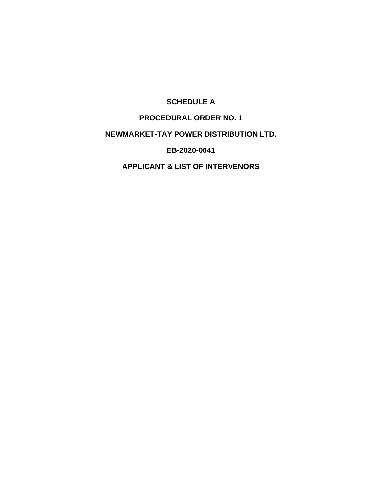## **SCHEDULE A**

## **PROCEDURAL ORDER NO. 1**

#### **NEWMARKET-TAY POWER DISTRIBUTION LTD.**

**EB-2020-0041**

**APPLICANT & LIST OF INTERVENORS**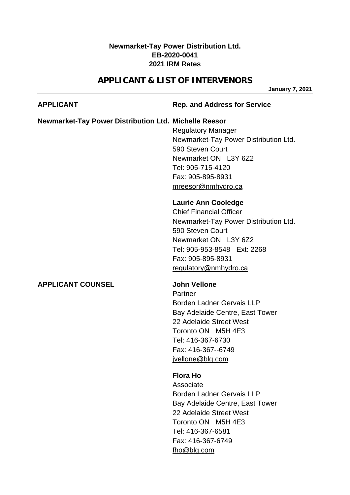## **Newmarket-Tay Power Distribution Ltd. EB-2020-0041 2021 IRM Rates**

# **APPLICANT & LIST OF INTERVENORS**

**January 7, 2021**

| <b>APPLICANT</b>                                             | <b>Rep. and Address for Service</b>                                                                                                                                                                                            |
|--------------------------------------------------------------|--------------------------------------------------------------------------------------------------------------------------------------------------------------------------------------------------------------------------------|
| <b>Newmarket-Tay Power Distribution Ltd. Michelle Reesor</b> | <b>Regulatory Manager</b><br>Newmarket-Tay Power Distribution Ltd.<br>590 Steven Court<br>Newmarket ON L3Y 6Z2<br>Tel: 905-715-4120<br>Fax: 905-895-8931<br>mreesor@nmhydro.ca                                                 |
|                                                              | <b>Laurie Ann Cooledge</b><br><b>Chief Financial Officer</b><br>Newmarket-Tay Power Distribution Ltd.<br>590 Steven Court<br>Newmarket ON L3Y 6Z2<br>Tel: 905-953-8548 Ext: 2268<br>Fax: 905-895-8931<br>regulatory@nmhydro.ca |
| <b>APPLICANT COUNSEL</b>                                     | <b>John Vellone</b><br>Partner<br><b>Borden Ladner Gervais LLP</b><br>Bay Adelaide Centre, East Tower<br>22 Adelaide Street West<br>Toronto ON M5H 4E3<br>Tel: 416-367-6730<br>Fax: 416-367--6749<br>jvellone@blg.com          |
|                                                              | <b>Flora Ho</b><br>Associate<br>Borden Ladner Gervais LLP<br>Bay Adelaide Centre, East Tower<br>22 Adelaide Street West<br>Toronto ON M5H 4E3                                                                                  |

Tel: 416-367-6581 Fax: 416-367-6749

[fho@blg.com](mailto:fho@blg.com)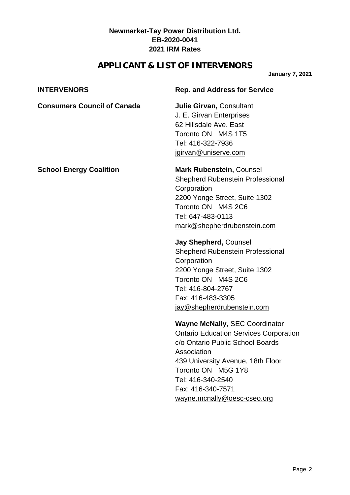## **Newmarket-Tay Power Distribution Ltd. EB-2020-0041 2021 IRM Rates**

# **APPLICANT & LIST OF INTERVENORS**

**January 7, 2021**

| <b>INTERVENORS</b>                 | <b>Rep. and Address for Service</b>                                                                                                                                                                                                                                                                                                                                                                                    |
|------------------------------------|------------------------------------------------------------------------------------------------------------------------------------------------------------------------------------------------------------------------------------------------------------------------------------------------------------------------------------------------------------------------------------------------------------------------|
| <b>Consumers Council of Canada</b> | <b>Julie Girvan, Consultant</b><br>J. E. Girvan Enterprises<br>62 Hillsdale Ave. East<br>Toronto ON M4S 1T5<br>Tel: 416-322-7936<br>jgirvan@uniserve.com                                                                                                                                                                                                                                                               |
| <b>School Energy Coalition</b>     | <b>Mark Rubenstein, Counsel</b><br><b>Shepherd Rubenstein Professional</b><br>Corporation<br>2200 Yonge Street, Suite 1302<br>Toronto ON M4S 2C6<br>Tel: 647-483-0113<br>mark@shepherdrubenstein.com<br>Jay Shepherd, Counsel<br><b>Shepherd Rubenstein Professional</b><br>Corporation<br>2200 Yonge Street, Suite 1302<br>Toronto ON M4S 2C6<br>Tel: 416-804-2767<br>Fax: 416-483-3305<br>jay@shepherdrubenstein.com |
|                                    | <b>Wayne McNally, SEC Coordinator</b><br><b>Ontario Education Services Corporation</b><br>c/o Ontario Public School Boards<br>Association<br>439 University Avenue, 18th Floor<br>Toronto ON M5G 1Y8<br>Tel: 416-340-2540<br>Fax: 416-340-7571<br>wayne.mcnally@oesc-cseo.org                                                                                                                                          |